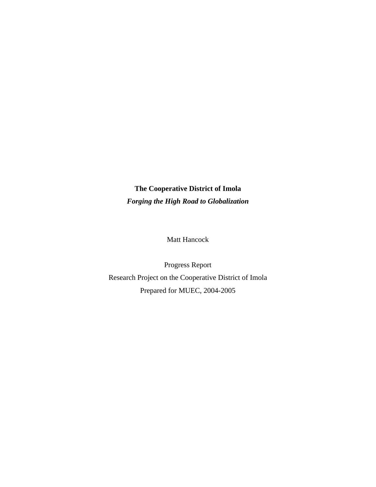# **The Cooperative District of Imola** *Forging the High Road to Globalization*

Matt Hancock

Progress Report Research Project on the Cooperative District of Imola Prepared for MUEC, 2004-2005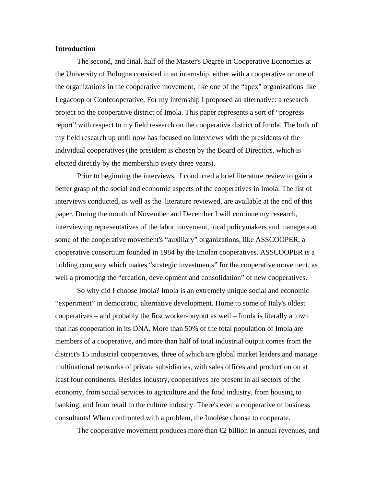### **Introduction**

 The second, and final, half of the Master's Degree in Cooperative Economics at the University of Bologna consisted in an internship, either with a cooperative or one of the organizations in the cooperative movement, like one of the "apex" organizations like Legacoop or Confcooperative. For my internship I proposed an alternative: a research project on the cooperative district of Imola. This paper represents a sort of "progress report" with respect to my field research on the cooperative district of Imola. The bulk of my field research up until now has focused on interviews with the presidents of the individual cooperatives (the president is chosen by the Board of Directors, which is elected directly by the membership every three years).

 Prior to beginning the interviews, I conducted a brief literature review to gain a better grasp of the social and economic aspects of the cooperatives in Imola. The list of interviews conducted, as well as the literature reviewed, are available at the end of this paper. During the month of November and December I will continue my research, interviewing representatives of the labor movement, local policymakers and managers at some of the cooperative movement's "auxiliary" organizations, like ASSCOOPER, a cooperative consortium founded in 1984 by the Imolan cooperatives. ASSCOOPER is a holding company which makes "strategic investments" for the cooperative movement, as well a promoting the "creation, development and consolidation" of new cooperatives.

 So why did I choose Imola? Imola is an extremely unique social and economic "experiment" in democratic, alternative development. Home to some of Italy's oldest cooperatives – and probably the first worker-buyout as well – Imola is literally a town that has cooperation in its DNA. More than 50% of the total population of Imola are members of a cooperative, and more than half of total industrial output comes from the district's 15 industrial cooperatives, three of which are global market leaders and manage multinational networks of private subsidiaries, with sales offices and production on at least four continents. Besides industry, cooperatives are present in all sectors of the economy, from social services to agriculture and the food industry, from housing to banking, and from retail to the culture industry. There's even a cooperative of business consultants! When confronted with a problem, the Imolese choose to cooperate.

The cooperative movement produces more than  $\bigoplus$  billion in annual revenues, and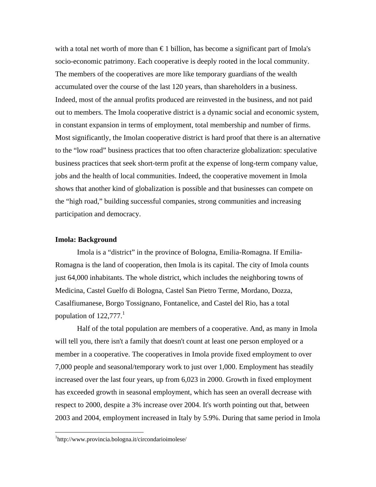with a total net worth of more than  $\epsilon$  1 billion, has become a significant part of Imola's socio-economic patrimony. Each cooperative is deeply rooted in the local community. The members of the cooperatives are more like temporary guardians of the wealth accumulated over the course of the last 120 years, than shareholders in a business. Indeed, most of the annual profits produced are reinvested in the business, and not paid out to members. The Imola cooperative district is a dynamic social and economic system, in constant expansion in terms of employment, total membership and number of firms. Most significantly, the Imolan cooperative district is hard proof that there is an alternative to the "low road" business practices that too often characterize globalization: speculative business practices that seek short-term profit at the expense of long-term company value, jobs and the health of local communities. Indeed, the cooperative movement in Imola shows that another kind of globalization is possible and that businesses can compete on the "high road," building successful companies, strong communities and increasing participation and democracy.

#### **Imola: Background**

 Imola is a "district" in the province of Bologna, Emilia-Romagna. If Emilia-Romagna is the land of cooperation, then Imola is its capital. The city of Imola counts just 64,000 inhabitants. The whole district, which includes the neighboring towns of Medicina, Castel Guelfo di Bologna, Castel San Pietro Terme, Mordano, Dozza, Casalfiumanese, Borgo Tossignano, Fontanelice, and Castel del Rio, has a total population of  $122,777<sup>1</sup>$ 

 Half of the total population are members of a cooperative. And, as many in Imola will tell you, there isn't a family that doesn't count at least one person employed or a member in a cooperative. The cooperatives in Imola provide fixed employment to over 7,000 people and seasonal/temporary work to just over 1,000. Employment has steadily increased over the last four years, up from 6,023 in 2000. Growth in fixed employment has exceeded growth in seasonal employment, which has seen an overall decrease with respect to 2000, despite a 3% increase over 2004. It's worth pointing out that, between 2003 and 2004, employment increased in Italy by 5.9%. During that same period in Imola

<u>.</u>

<sup>1</sup> http://www.provincia.bologna.it/circondarioimolese/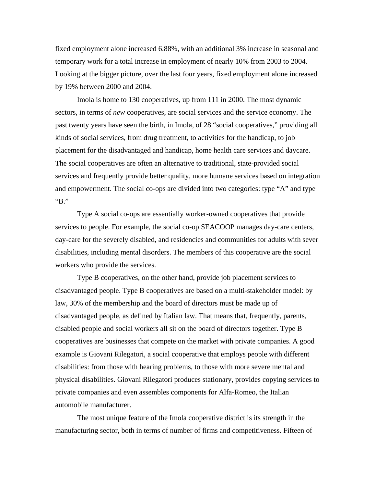fixed employment alone increased 6.88%, with an additional 3% increase in seasonal and temporary work for a total increase in employment of nearly 10% from 2003 to 2004. Looking at the bigger picture, over the last four years, fixed employment alone increased by 19% between 2000 and 2004.

 Imola is home to 130 cooperatives, up from 111 in 2000. The most dynamic sectors, in terms of *new* cooperatives, are social services and the service economy. The past twenty years have seen the birth, in Imola, of 28 "social cooperatives," providing all kinds of social services, from drug treatment, to activities for the handicap, to job placement for the disadvantaged and handicap, home health care services and daycare. The social cooperatives are often an alternative to traditional, state-provided social services and frequently provide better quality, more humane services based on integration and empowerment. The social co-ops are divided into two categories: type "A" and type "B."

 Type A social co-ops are essentially worker-owned cooperatives that provide services to people. For example, the social co-op SEACOOP manages day-care centers, day-care for the severely disabled, and residencies and communities for adults with sever disabilities, including mental disorders. The members of this cooperative are the social workers who provide the services.

 Type B cooperatives, on the other hand, provide job placement services to disadvantaged people. Type B cooperatives are based on a multi-stakeholder model: by law, 30% of the membership and the board of directors must be made up of disadvantaged people, as defined by Italian law. That means that, frequently, parents, disabled people and social workers all sit on the board of directors together. Type B cooperatives are businesses that compete on the market with private companies. A good example is Giovani Rilegatori, a social cooperative that employs people with different disabilities: from those with hearing problems, to those with more severe mental and physical disabilities. Giovani Rilegatori produces stationary, provides copying services to private companies and even assembles components for Alfa-Romeo, the Italian automobile manufacturer.

 The most unique feature of the Imola cooperative district is its strength in the manufacturing sector, both in terms of number of firms and competitiveness. Fifteen of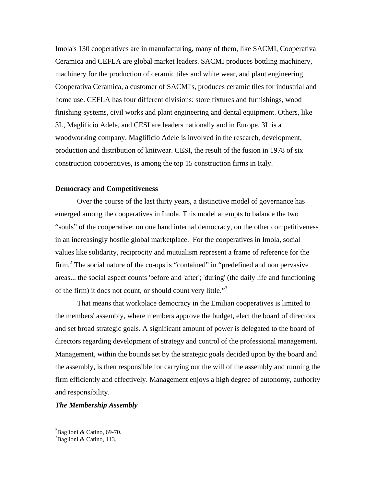Imola's 130 cooperatives are in manufacturing, many of them, like SACMI, Cooperativa Ceramica and CEFLA are global market leaders. SACMI produces bottling machinery, machinery for the production of ceramic tiles and white wear, and plant engineering. Cooperativa Ceramica, a customer of SACMI's, produces ceramic tiles for industrial and home use. CEFLA has four different divisions: store fixtures and furnishings, wood finishing systems, civil works and plant engineering and dental equipment. Others, like 3L, Maglificio Adele, and CESI are leaders nationally and in Europe. 3L is a woodworking company. Maglificio Adele is involved in the research, development, production and distribution of knitwear. CESI, the result of the fusion in 1978 of six construction cooperatives, is among the top 15 construction firms in Italy.

#### **Democracy and Competitiveness**

 Over the course of the last thirty years, a distinctive model of governance has emerged among the cooperatives in Imola. This model attempts to balance the two "souls" of the cooperative: on one hand internal democracy, on the other competitiveness in an increasingly hostile global marketplace. For the cooperatives in Imola, social values like solidarity, reciprocity and mutualism represent a frame of reference for the firm.<sup>2</sup> The social nature of the co-ops is "contained" in "predefined and non pervasive areas... the social aspect counts 'before and 'after'; 'during' (the daily life and functioning of the firm) it does not count, or should count very little."<sup>3</sup>

 That means that workplace democracy in the Emilian cooperatives is limited to the members' assembly, where members approve the budget, elect the board of directors and set broad strategic goals. A significant amount of power is delegated to the board of directors regarding development of strategy and control of the professional management. Management, within the bounds set by the strategic goals decided upon by the board and the assembly, is then responsible for carrying out the will of the assembly and running the firm efficiently and effectively. Management enjoys a high degree of autonomy, authority and responsibility.

## *The Membership Assembly*

<sup>&</sup>lt;sup>2</sup>Baglioni & Catino, 69-70.

<sup>&</sup>lt;sup>3</sup>Baglioni & Catino, 113.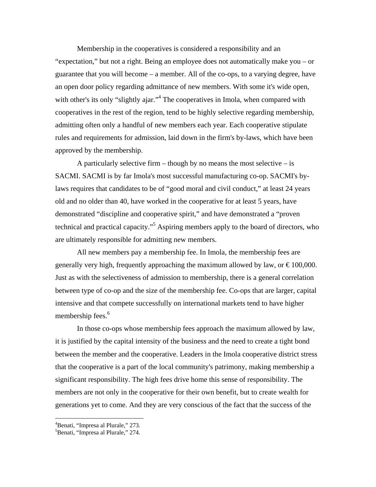Membership in the cooperatives is considered a responsibility and an "expectation," but not a right. Being an employee does not automatically make you – or guarantee that you will become – a member. All of the co-ops, to a varying degree, have an open door policy regarding admittance of new members. With some it's wide open, with other's its only "slightly ajar."<sup>4</sup> The cooperatives in Imola, when compared with cooperatives in the rest of the region, tend to be highly selective regarding membership, admitting often only a handful of new members each year. Each cooperative stipulate rules and requirements for admission, laid down in the firm's by-laws, which have been approved by the membership.

A particularly selective firm – though by no means the most selective – is SACMI. SACMI is by far Imola's most successful manufacturing co-op. SACMI's bylaws requires that candidates to be of "good moral and civil conduct," at least 24 years old and no older than 40, have worked in the cooperative for at least 5 years, have demonstrated "discipline and cooperative spirit," and have demonstrated a "proven technical and practical capacity."5 Aspiring members apply to the board of directors, who are ultimately responsible for admitting new members.

 All new members pay a membership fee. In Imola, the membership fees are generally very high, frequently approaching the maximum allowed by law, or  $\epsilon$ 100,000. Just as with the selectiveness of admission to membership, there is a general correlation between type of co-op and the size of the membership fee. Co-ops that are larger, capital intensive and that compete successfully on international markets tend to have higher membership fees.<sup>6</sup>

 In those co-ops whose membership fees approach the maximum allowed by law, it is justified by the capital intensity of the business and the need to create a tight bond between the member and the cooperative. Leaders in the Imola cooperative district stress that the cooperative is a part of the local community's patrimony, making membership a significant responsibility. The high fees drive home this sense of responsibility. The members are not only in the cooperative for their own benefit, but to create wealth for generations yet to come. And they are very conscious of the fact that the success of the

1

<sup>4</sup> Benati, "Impresa al Plurale," 273.

<sup>5</sup> Benati, "Impresa al Plurale," 274.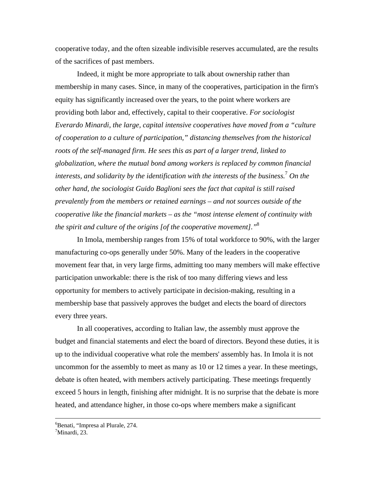cooperative today, and the often sizeable indivisible reserves accumulated, are the results of the sacrifices of past members.

 Indeed, it might be more appropriate to talk about ownership rather than membership in many cases. Since, in many of the cooperatives, participation in the firm's equity has significantly increased over the years, to the point where workers are providing both labor and, effectively, capital to their cooperative. *For sociologist Everardo Minardi, the large, capital intensive cooperatives have moved from a "culture of cooperation to a culture of participation," distancing themselves from the historical roots of the self-managed firm. He sees this as part of a larger trend, linked to globalization, where the mutual bond among workers is replaced by common financial interests, and solidarity by the identification with the interests of the business.*<sup>7</sup>  *On the other hand, the sociologist Guido Baglioni sees the fact that capital is still raised prevalently from the members or retained earnings – and not sources outside of the cooperative like the financial markets – as the "most intense element of continuity with the spirit and culture of the origins [of the cooperative movement]."*<sup>8</sup>

 In Imola, membership ranges from 15% of total workforce to 90%, with the larger manufacturing co-ops generally under 50%. Many of the leaders in the cooperative movement fear that, in very large firms, admitting too many members will make effective participation unworkable: there is the risk of too many differing views and less opportunity for members to actively participate in decision-making, resulting in a membership base that passively approves the budget and elects the board of directors every three years.

 In all cooperatives, according to Italian law, the assembly must approve the budget and financial statements and elect the board of directors. Beyond these duties, it is up to the individual cooperative what role the members' assembly has. In Imola it is not uncommon for the assembly to meet as many as 10 or 12 times a year. In these meetings, debate is often heated, with members actively participating. These meetings frequently exceed 5 hours in length, finishing after midnight. It is no surprise that the debate is more heated, and attendance higher, in those co-ops where members make a significant

 $\frac{1}{6}$ Benati, "Impresa al Plurale, 274. 7 Minardi, 23.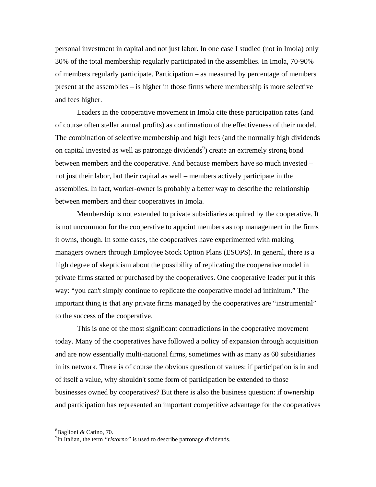personal investment in capital and not just labor. In one case I studied (not in Imola) only 30% of the total membership regularly participated in the assemblies. In Imola, 70-90% of members regularly participate. Participation – as measured by percentage of members present at the assemblies – is higher in those firms where membership is more selective and fees higher.

 Leaders in the cooperative movement in Imola cite these participation rates (and of course often stellar annual profits) as confirmation of the effectiveness of their model. The combination of selective membership and high fees (and the normally high dividends on capital invested as well as patronage dividends<sup>9</sup>) create an extremely strong bond between members and the cooperative. And because members have so much invested – not just their labor, but their capital as well – members actively participate in the assemblies. In fact, worker-owner is probably a better way to describe the relationship between members and their cooperatives in Imola.

 Membership is not extended to private subsidiaries acquired by the cooperative. It is not uncommon for the cooperative to appoint members as top management in the firms it owns, though. In some cases, the cooperatives have experimented with making managers owners through Employee Stock Option Plans (ESOPS). In general, there is a high degree of skepticism about the possibility of replicating the cooperative model in private firms started or purchased by the cooperatives. One cooperative leader put it this way: "you can't simply continue to replicate the cooperative model ad infinitum." The important thing is that any private firms managed by the cooperatives are "instrumental" to the success of the cooperative.

 This is one of the most significant contradictions in the cooperative movement today. Many of the cooperatives have followed a policy of expansion through acquisition and are now essentially multi-national firms, sometimes with as many as 60 subsidiaries in its network. There is of course the obvious question of values: if participation is in and of itself a value, why shouldn't some form of participation be extended to those businesses owned by cooperatives? But there is also the business question: if ownership and participation has represented an important competitive advantage for the cooperatives

 <sup>8</sup> Baglioni & Catino, 70.

<sup>&</sup>lt;sup>9</sup>In Italian, the term "*ristorno*" is used to describe patronage dividends.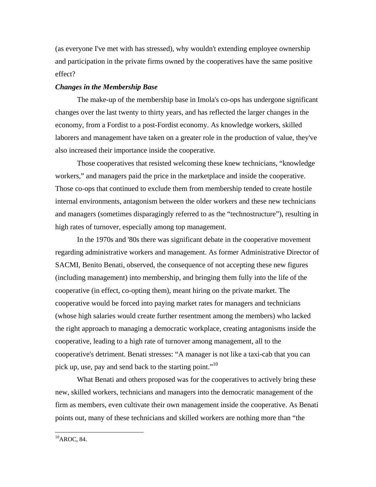(as everyone I've met with has stressed), why wouldn't extending employee ownership and participation in the private firms owned by the cooperatives have the same positive effect?

## *Changes in the Membership Base*

 The make-up of the membership base in Imola's co-ops has undergone significant changes over the last twenty to thirty years, and has reflected the larger changes in the economy, from a Fordist to a post-Fordist economy. As knowledge workers, skilled laborers and management have taken on a greater role in the production of value, they've also increased their importance inside the cooperative.

 Those cooperatives that resisted welcoming these knew technicians, "knowledge workers," and managers paid the price in the marketplace and inside the cooperative. Those co-ops that continued to exclude them from membership tended to create hostile internal environments, antagonism between the older workers and these new technicians and managers (sometimes disparagingly referred to as the "technostructure"), resulting in high rates of turnover, especially among top management.

 In the 1970s and '80s there was significant debate in the cooperative movement regarding administrative workers and management. As former Administrative Director of SACMI, Benito Benati, observed, the consequence of not accepting these new figures (including management) into membership, and bringing them fully into the life of the cooperative (in effect, co-opting them), meant hiring on the private market. The cooperative would be forced into paying market rates for managers and technicians (whose high salaries would create further resentment among the members) who lacked the right approach to managing a democratic workplace, creating antagonisms inside the cooperative, leading to a high rate of turnover among management, all to the cooperative's detriment. Benati stresses: "A manager is not like a taxi-cab that you can pick up, use, pay and send back to the starting point."<sup>10</sup>

 What Benati and others proposed was for the cooperatives to actively bring these new, skilled workers, technicians and managers into the democratic management of the firm as members, even cultivate their own management inside the cooperative. As Benati points out, many of these technicians and skilled workers are nothing more than "the

 $^{10}$ AROC, 84.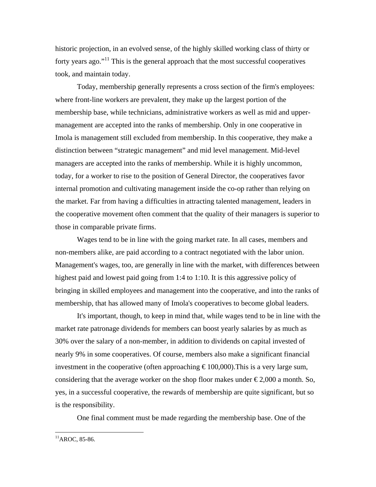historic projection, in an evolved sense, of the highly skilled working class of thirty or forty years ago."<sup>11</sup> This is the general approach that the most successful cooperatives took, and maintain today.

 Today, membership generally represents a cross section of the firm's employees: where front-line workers are prevalent, they make up the largest portion of the membership base, while technicians, administrative workers as well as mid and uppermanagement are accepted into the ranks of membership. Only in one cooperative in Imola is management still excluded from membership. In this cooperative, they make a distinction between "strategic management" and mid level management. Mid-level managers are accepted into the ranks of membership. While it is highly uncommon, today, for a worker to rise to the position of General Director, the cooperatives favor internal promotion and cultivating management inside the co-op rather than relying on the market. Far from having a difficulties in attracting talented management, leaders in the cooperative movement often comment that the quality of their managers is superior to those in comparable private firms.

 Wages tend to be in line with the going market rate. In all cases, members and non-members alike, are paid according to a contract negotiated with the labor union. Management's wages, too, are generally in line with the market, with differences between highest paid and lowest paid going from 1:4 to 1:10. It is this aggressive policy of bringing in skilled employees and management into the cooperative, and into the ranks of membership, that has allowed many of Imola's cooperatives to become global leaders.

 It's important, though, to keep in mind that, while wages tend to be in line with the market rate patronage dividends for members can boost yearly salaries by as much as 30% over the salary of a non-member, in addition to dividends on capital invested of nearly 9% in some cooperatives. Of course, members also make a significant financial investment in the cooperative (often approaching  $\epsilon$ 100,000). This is a very large sum, considering that the average worker on the shop floor makes under  $\epsilon$ 2,000 a month. So, yes, in a successful cooperative, the rewards of membership are quite significant, but so is the responsibility.

One final comment must be made regarding the membership base. One of the

 $11$ AROC, 85-86.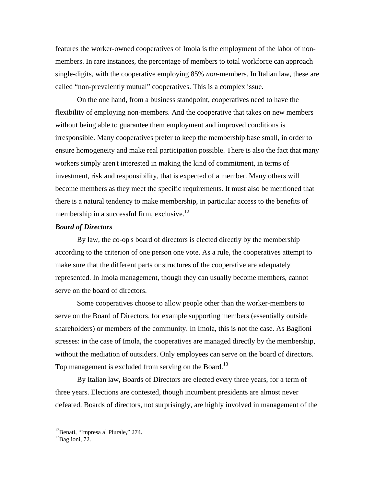features the worker-owned cooperatives of Imola is the employment of the labor of nonmembers. In rare instances, the percentage of members to total workforce can approach single-digits, with the cooperative employing 85% *non*-members. In Italian law, these are called "non-prevalently mutual" cooperatives. This is a complex issue.

 On the one hand, from a business standpoint, cooperatives need to have the flexibility of employing non-members. And the cooperative that takes on new members without being able to guarantee them employment and improved conditions is irresponsible. Many cooperatives prefer to keep the membership base small, in order to ensure homogeneity and make real participation possible. There is also the fact that many workers simply aren't interested in making the kind of commitment, in terms of investment, risk and responsibility, that is expected of a member. Many others will become members as they meet the specific requirements. It must also be mentioned that there is a natural tendency to make membership, in particular access to the benefits of membership in a successful firm, exclusive. $12$ 

## *Board of Directors*

 By law, the co-op's board of directors is elected directly by the membership according to the criterion of one person one vote. As a rule, the cooperatives attempt to make sure that the different parts or structures of the cooperative are adequately represented. In Imola management, though they can usually become members, cannot serve on the board of directors.

 Some cooperatives choose to allow people other than the worker-members to serve on the Board of Directors, for example supporting members (essentially outside shareholders) or members of the community. In Imola, this is not the case. As Baglioni stresses: in the case of Imola, the cooperatives are managed directly by the membership, without the mediation of outsiders. Only employees can serve on the board of directors. Top management is excluded from serving on the Board.<sup>13</sup>

 By Italian law, Boards of Directors are elected every three years, for a term of three years. Elections are contested, though incumbent presidents are almost never defeated. Boards of directors, not surprisingly, are highly involved in management of the

<sup>&</sup>lt;sup>12</sup>Benati, "Impresa al Plurale," 274.

<sup>&</sup>lt;sup>13</sup>Baglioni, 72.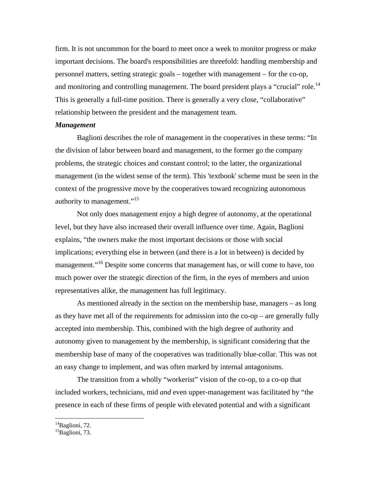firm. It is not uncommon for the board to meet once a week to monitor progress or make important decisions. The board's responsibilities are threefold: handling membership and personnel matters, setting strategic goals – together with management – for the co-op, and monitoring and controlling management. The board president plays a "crucial" role.<sup>14</sup> This is generally a full-time position. There is generally a very close, "collaborative" relationship between the president and the management team.

## *Management*

 Baglioni describes the role of management in the cooperatives in these terms: "In the division of labor between board and management, to the former go the company problems, the strategic choices and constant control; to the latter, the organizational management (in the widest sense of the term). This 'textbook' scheme must be seen in the context of the progressive move by the cooperatives toward recognizing autonomous authority to management."<sup>15</sup>

 Not only does management enjoy a high degree of autonomy, at the operational level, but they have also increased their overall influence over time. Again, Baglioni explains, "the owners make the most important decisions or those with social implications; everything else in between (and there is a lot in between) is decided by management."<sup>16</sup> Despite some concerns that management has, or will come to have, too much power over the strategic direction of the firm, in the eyes of members and union representatives alike, the management has full legitimacy.

 As mentioned already in the section on the membership base, managers – as long as they have met all of the requirements for admission into the co-op – are generally fully accepted into membership. This, combined with the high degree of authority and autonomy given to management by the membership, is significant considering that the membership base of many of the cooperatives was traditionally blue-collar. This was not an easy change to implement, and was often marked by internal antagonisms.

 The transition from a wholly "workerist" vision of the co-op, to a co-op that included workers, technicians, mid *and* even upper-management was facilitated by "the presence in each of these firms of people with elevated potential and with a significant

 $14$ Baglioni, 72.

 ${}^{15}$ Baglioni, 73.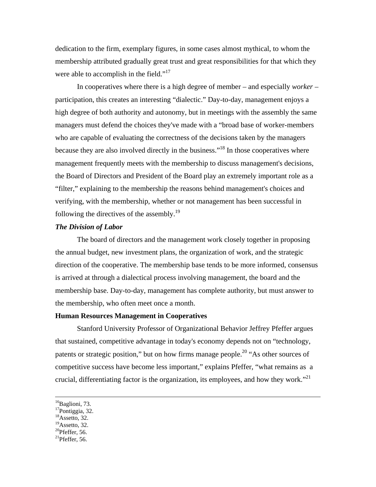dedication to the firm, exemplary figures, in some cases almost mythical, to whom the membership attributed gradually great trust and great responsibilities for that which they were able to accomplish in the field." $17$ 

 In cooperatives where there is a high degree of member – and especially *worker –*  participation, this creates an interesting "dialectic." Day-to-day, management enjoys a high degree of both authority and autonomy, but in meetings with the assembly the same managers must defend the choices they've made with a "broad base of worker-members who are capable of evaluating the correctness of the decisions taken by the managers because they are also involved directly in the business."<sup>18</sup> In those cooperatives where management frequently meets with the membership to discuss management's decisions, the Board of Directors and President of the Board play an extremely important role as a "filter," explaining to the membership the reasons behind management's choices and verifying, with the membership, whether or not management has been successful in following the directives of the assembly. $19$ 

#### *The Division of Labor*

 The board of directors and the management work closely together in proposing the annual budget, new investment plans, the organization of work, and the strategic direction of the cooperative. The membership base tends to be more informed, consensus is arrived at through a dialectical process involving management, the board and the membership base. Day-to-day, management has complete authority, but must answer to the membership, who often meet once a month.

## **Human Resources Management in Cooperatives**

 Stanford University Professor of Organizational Behavior Jeffrey Pfeffer argues that sustained, competitive advantage in today's economy depends not on "technology, patents or strategic position," but on how firms manage people.<sup>20</sup> "As other sources of competitive success have become less important," explains Pfeffer, "what remains as a crucial, differentiating factor is the organization, its employees, and how they work."<sup>21</sup>

<sup>&</sup>lt;sup>16</sup>Baglioni, 73.

<sup>17</sup>Pontiggia, 32.

 $18$ Assetto, 32.

 $^{19}$ Assetto, 32.

 $20$ Pfeffer, 56.

 $^{21}$ Pfeffer, 56.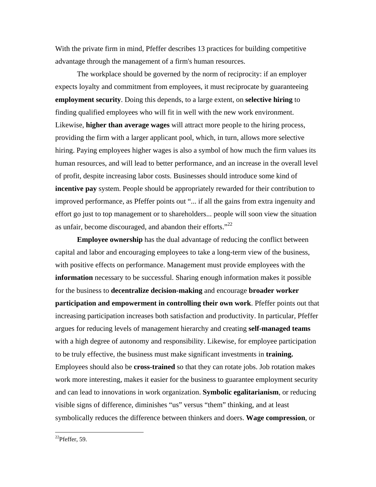With the private firm in mind, Pfeffer describes 13 practices for building competitive advantage through the management of a firm's human resources.

 The workplace should be governed by the norm of reciprocity: if an employer expects loyalty and commitment from employees, it must reciprocate by guaranteeing **employment security**. Doing this depends, to a large extent, on **selective hiring** to finding qualified employees who will fit in well with the new work environment. Likewise, **higher than average wages** will attract more people to the hiring process, providing the firm with a larger applicant pool, which, in turn, allows more selective hiring. Paying employees higher wages is also a symbol of how much the firm values its human resources, and will lead to better performance, and an increase in the overall level of profit, despite increasing labor costs. Businesses should introduce some kind of **incentive pay** system. People should be appropriately rewarded for their contribution to improved performance, as Pfeffer points out "... if all the gains from extra ingenuity and effort go just to top management or to shareholders... people will soon view the situation as unfair, become discouraged, and abandon their efforts."<sup>22</sup>

**Employee ownership** has the dual advantage of reducing the conflict between capital and labor and encouraging employees to take a long-term view of the business, with positive effects on performance. Management must provide employees with the **information** necessary to be successful. Sharing enough information makes it possible for the business to **decentralize decision-making** and encourage **broader worker participation and empowerment in controlling their own work**. Pfeffer points out that increasing participation increases both satisfaction and productivity. In particular, Pfeffer argues for reducing levels of management hierarchy and creating **self-managed teams**  with a high degree of autonomy and responsibility. Likewise, for employee participation to be truly effective, the business must make significant investments in **training.**  Employees should also be **cross-trained** so that they can rotate jobs. Job rotation makes work more interesting, makes it easier for the business to guarantee employment security and can lead to innovations in work organization. **Symbolic egalitarianism**, or reducing visible signs of difference, diminishes "us" versus "them" thinking, and at least symbolically reduces the difference between thinkers and doers. **Wage compression**, or

 $^{22}$ Pfeffer, 59.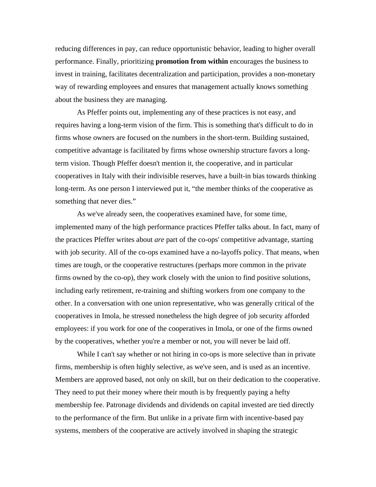reducing differences in pay, can reduce opportunistic behavior, leading to higher overall performance. Finally, prioritizing **promotion from within** encourages the business to invest in training, facilitates decentralization and participation, provides a non-monetary way of rewarding employees and ensures that management actually knows something about the business they are managing.

 As Pfeffer points out, implementing any of these practices is not easy, and requires having a long-term vision of the firm. This is something that's difficult to do in firms whose owners are focused on the numbers in the short-term. Building sustained, competitive advantage is facilitated by firms whose ownership structure favors a longterm vision. Though Pfeffer doesn't mention it, the cooperative, and in particular cooperatives in Italy with their indivisible reserves, have a built-in bias towards thinking long-term. As one person I interviewed put it, "the member thinks of the cooperative as something that never dies."

 As we've already seen, the cooperatives examined have, for some time, implemented many of the high performance practices Pfeffer talks about. In fact, many of the practices Pfeffer writes about *are* part of the co-ops' competitive advantage, starting with job security. All of the co-ops examined have a no-layoffs policy. That means, when times are tough, or the cooperative restructures (perhaps more common in the private firms owned by the co-op), they work closely with the union to find positive solutions, including early retirement, re-training and shifting workers from one company to the other. In a conversation with one union representative, who was generally critical of the cooperatives in Imola, he stressed nonetheless the high degree of job security afforded employees: if you work for one of the cooperatives in Imola, or one of the firms owned by the cooperatives, whether you're a member or not, you will never be laid off.

While I can't say whether or not hiring in co-ops is more selective than in private firms, membership is often highly selective, as we've seen, and is used as an incentive. Members are approved based, not only on skill, but on their dedication to the cooperative. They need to put their money where their mouth is by frequently paying a hefty membership fee. Patronage dividends and dividends on capital invested are tied directly to the performance of the firm. But unlike in a private firm with incentive-based pay systems, members of the cooperative are actively involved in shaping the strategic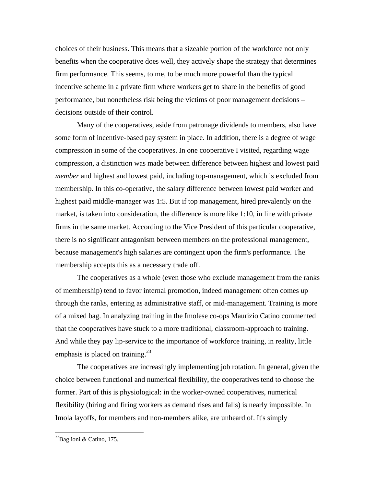choices of their business. This means that a sizeable portion of the workforce not only benefits when the cooperative does well, they actively shape the strategy that determines firm performance. This seems, to me, to be much more powerful than the typical incentive scheme in a private firm where workers get to share in the benefits of good performance, but nonetheless risk being the victims of poor management decisions – decisions outside of their control.

 Many of the cooperatives, aside from patronage dividends to members, also have some form of incentive-based pay system in place. In addition, there is a degree of wage compression in some of the cooperatives. In one cooperative I visited, regarding wage compression, a distinction was made between difference between highest and lowest paid *member* and highest and lowest paid, including top-management, which is excluded from membership. In this co-operative, the salary difference between lowest paid worker and highest paid middle-manager was 1:5. But if top management, hired prevalently on the market, is taken into consideration, the difference is more like 1:10, in line with private firms in the same market. According to the Vice President of this particular cooperative, there is no significant antagonism between members on the professional management, because management's high salaries are contingent upon the firm's performance. The membership accepts this as a necessary trade off.

 The cooperatives as a whole (even those who exclude management from the ranks of membership) tend to favor internal promotion, indeed management often comes up through the ranks, entering as administrative staff, or mid-management. Training is more of a mixed bag. In analyzing training in the Imolese co-ops Maurizio Catino commented that the cooperatives have stuck to a more traditional, classroom-approach to training. And while they pay lip-service to the importance of workforce training, in reality, little emphasis is placed on training.<sup>23</sup>

 The cooperatives are increasingly implementing job rotation. In general, given the choice between functional and numerical flexibility, the cooperatives tend to choose the former. Part of this is physiological: in the worker-owned cooperatives, numerical flexibility (hiring and firing workers as demand rises and falls) is nearly impossible. In Imola layoffs, for members and non-members alike, are unheard of. It's simply

 $^{23}$ Baglioni & Catino, 175.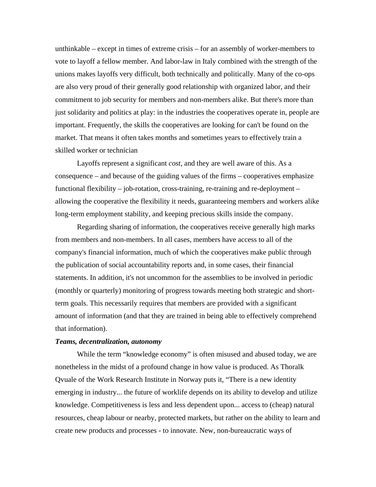unthinkable – except in times of extreme crisis – for an assembly of worker-members to vote to layoff a fellow member. And labor-law in Italy combined with the strength of the unions makes layoffs very difficult, both technically and politically. Many of the co-ops are also very proud of their generally good relationship with organized labor, and their commitment to job security for members and non-members alike. But there's more than just solidarity and politics at play: in the industries the cooperatives operate in, people are important. Frequently, the skills the cooperatives are looking for can't be found on the market. That means it often takes months and sometimes years to effectively train a skilled worker or technician

 Layoffs represent a significant *cost*, and they are well aware of this. As a consequence – and because of the guiding values of the firms – cooperatives emphasize functional flexibility – job-rotation, cross-training, re-training and re-deployment – allowing the cooperative the flexibility it needs, guaranteeing members and workers alike long-term employment stability, and keeping precious skills inside the company.

 Regarding sharing of information, the cooperatives receive generally high marks from members and non-members. In all cases, members have access to all of the company's financial information, much of which the cooperatives make public through the publication of social accountability reports and, in some cases, their financial statements. In addition, it's not uncommon for the assemblies to be involved in periodic (monthly or quarterly) monitoring of progress towards meeting both strategic and shortterm goals. This necessarily requires that members are provided with a significant amount of information (and that they are trained in being able to effectively comprehend that information).

## *Teams, decentralization, autonomy*

 While the term "knowledge economy" is often misused and abused today, we are nonetheless in the midst of a profound change in how value is produced. As Thoralk Qvuale of the Work Research Institute in Norway puts it, "There is a new identity emerging in industry... the future of worklife depends on its ability to develop and utilize knowledge. Competitiveness is less and less dependent upon... access to (cheap) natural resources, cheap labour or nearby, protected markets, but rather on the ability to learn and create new products and processes - to innovate. New, non-bureaucratic ways of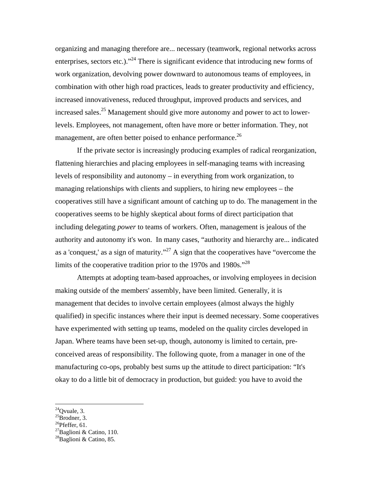organizing and managing therefore are... necessary (teamwork, regional networks across enterprises, sectors etc.)."<sup>24</sup> There is significant evidence that introducing new forms of work organization, devolving power downward to autonomous teams of employees, in combination with other high road practices, leads to greater productivity and efficiency, increased innovativeness, reduced throughput, improved products and services, and increased sales.<sup>25</sup> Management should give more autonomy and power to act to lowerlevels. Employees, not management, often have more or better information. They, not management, are often better poised to enhance performance.<sup>26</sup>

 If the private sector is increasingly producing examples of radical reorganization, flattening hierarchies and placing employees in self-managing teams with increasing levels of responsibility and autonomy – in everything from work organization, to managing relationships with clients and suppliers, to hiring new employees – the cooperatives still have a significant amount of catching up to do. The management in the cooperatives seems to be highly skeptical about forms of direct participation that including delegating *power* to teams of workers. Often, management is jealous of the authority and autonomy it's won. In many cases, "authority and hierarchy are... indicated as a 'conquest,' as a sign of maturity."<sup>27</sup> A sign that the cooperatives have "overcome the limits of the cooperative tradition prior to the 1970s and 1980s.<sup> $28$ </sup>

Attempts at adopting team-based approaches, or involving employees in decision making outside of the members' assembly, have been limited. Generally, it is management that decides to involve certain employees (almost always the highly qualified) in specific instances where their input is deemed necessary. Some cooperatives have experimented with setting up teams, modeled on the quality circles developed in Japan. Where teams have been set-up, though, autonomy is limited to certain, preconceived areas of responsibility. The following quote, from a manager in one of the manufacturing co-ops, probably best sums up the attitude to direct participation: "It's okay to do a little bit of democracy in production, but guided: you have to avoid the

 $^{24}$ Ovuale, 3.

 ${}^{25}$ Brodner, 3.

 $^{26}$ Pfeffer, 61.

<sup>&</sup>lt;sup>27</sup>Baglioni & Catino, 110.

 $^{28}$ Baglioni & Catino, 85.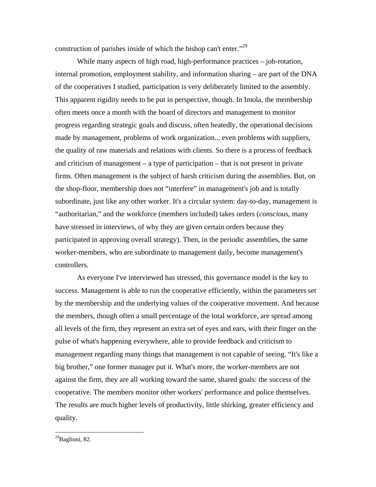construction of parishes inside of which the bishop can't enter."<sup>29</sup>

While many aspects of high road, high-performance practices – job-rotation, internal promotion, employment stability, and information sharing – are part of the DNA of the cooperatives I studied, participation is very deliberately limited to the assembly. This apparent rigidity needs to be put in perspective, though. In Imola, the membership often meets once a month with the board of directors and management to monitor progress regarding strategic goals and discuss, often heatedly, the operational decisions made by management, problems of work organization... even problems with suppliers, the quality of raw materials and relations with clients. So there is a process of feedback and criticism of management – a type of participation – that is not present in private firms. Often management is the subject of harsh criticism during the assemblies. But, on the shop-floor, membership does not "interfere" in management's job and is totally subordinate, just like any other worker. It's a circular system: day-to-day, management is "authoritarian," and the workforce (members included) takes orders (*conscious*, many have stressed in interviews, of why they are given certain orders because they participated in approving overall strategy). Then, in the periodic assemblies, the same worker-members, who are subordinate to management daily, become management's controllers.

 As everyone I've interviewed has stressed, this governance model is the key to success. Management is able to run the cooperative efficiently, within the parameters set by the membership and the underlying values of the cooperative movement. And because the members, though often a small percentage of the total workforce, are spread among all levels of the firm, they represent an extra set of eyes and ears, with their finger on the pulse of what's happening everywhere, able to provide feedback and criticism to management regarding many things that management is not capable of seeing. "It's like a big brother," one former manager put it. What's more, the worker-members are not against the firm, they are all working toward the same, shared goals: the success of the cooperative. The members monitor other workers' performance and police themselves. The results are much higher levels of productivity, little shirking, greater efficiency and quality.

 $^{29}$ Baglioni, 82.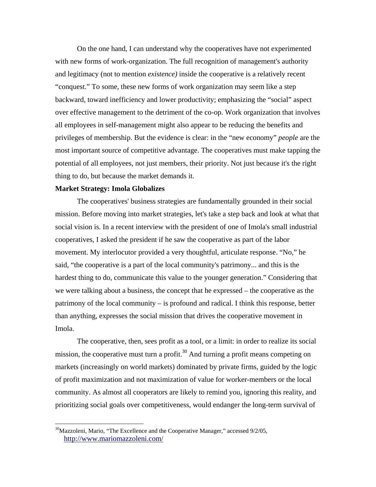On the one hand, I can understand why the cooperatives have not experimented with new forms of work-organization. The full recognition of management's authority and legitimacy (not to mention *existence)* inside the cooperative is a relatively recent "conquest." To some, these new forms of work organization may seem like a step backward, toward inefficiency and lower productivity; emphasizing the "social" aspect over effective management to the detriment of the co-op. Work organization that involves all employees in self-management might also appear to be reducing the benefits and privileges of membership. But the evidence is clear: in the "new economy" *people* are the most important source of competitive advantage. The cooperatives must make tapping the potential of all employees, not just members, their priority. Not just because it's the right thing to do, but because the market demands it.

#### **Market Strategy: Imola Globalizes**

 $\overline{a}$ 

 The cooperatives' business strategies are fundamentally grounded in their social mission. Before moving into market strategies, let's take a step back and look at what that social vision is. In a recent interview with the president of one of Imola's small industrial cooperatives, I asked the president if he saw the cooperative as part of the labor movement. My interlocutor provided a very thoughtful, articulate response. "No," he said, "the cooperative is a part of the local community's patrimony... and this is the hardest thing to do, communicate this value to the younger generation." Considering that we were talking about a business, the concept that he expressed – the cooperative as the patrimony of the local community – is profound and radical. I think this response, better than anything, expresses the social mission that drives the cooperative movement in Imola.

 The cooperative, then, sees profit as a tool, or a limit: in order to realize its social mission, the cooperative must turn a profit.<sup>30</sup> And turning a profit means competing on markets (increasingly on world markets) dominated by private firms, guided by the logic of profit maximization and not maximization of value for worker-members or the local community. As almost all cooperators are likely to remind you, ignoring this reality, and prioritizing social goals over competitiveness, would endanger the long-term survival of

 $30$ Mazzoleni, Mario, "The Excellence and the Cooperative Manager," accessed  $9/2/05$ , http://www.mariomazzoleni.com/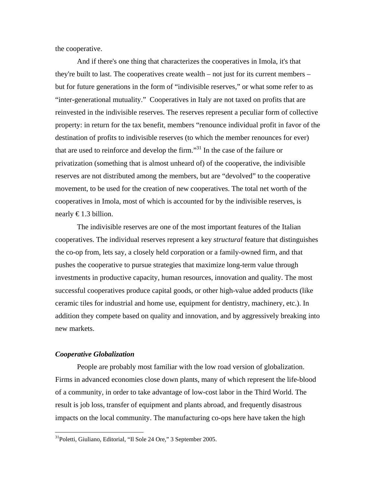the cooperative.

 And if there's one thing that characterizes the cooperatives in Imola, it's that they're built to last. The cooperatives create wealth – not just for its current members – but for future generations in the form of "indivisible reserves," or what some refer to as "inter-generational mutuality." Cooperatives in Italy are not taxed on profits that are reinvested in the indivisible reserves. The reserves represent a peculiar form of collective property: in return for the tax benefit, members "renounce individual profit in favor of the destination of profits to indivisible reserves (to which the member renounces for ever) that are used to reinforce and develop the firm."31 In the case of the failure or privatization (something that is almost unheard of) of the cooperative, the indivisible reserves are not distributed among the members, but are "devolved" to the cooperative movement, to be used for the creation of new cooperatives. The total net worth of the cooperatives in Imola, most of which is accounted for by the indivisible reserves, is nearly  $\epsilon$ 1.3 billion.

 The indivisible reserves are one of the most important features of the Italian cooperatives. The individual reserves represent a key *structural* feature that distinguishes the co-op from, lets say, a closely held corporation or a family-owned firm, and that pushes the cooperative to pursue strategies that maximize long-term value through investments in productive capacity, human resources, innovation and quality. The most successful cooperatives produce capital goods, or other high-value added products (like ceramic tiles for industrial and home use, equipment for dentistry, machinery, etc.). In addition they compete based on quality and innovation, and by aggressively breaking into new markets.

#### *Cooperative Globalization*

 $\overline{a}$ 

 People are probably most familiar with the low road version of globalization. Firms in advanced economies close down plants, many of which represent the life-blood of a community, in order to take advantage of low-cost labor in the Third World. The result is job loss, transfer of equipment and plants abroad, and frequently disastrous impacts on the local community. The manufacturing co-ops here have taken the high

<sup>31</sup>Poletti, Giuliano, Editorial, "Il Sole 24 Ore," 3 September 2005.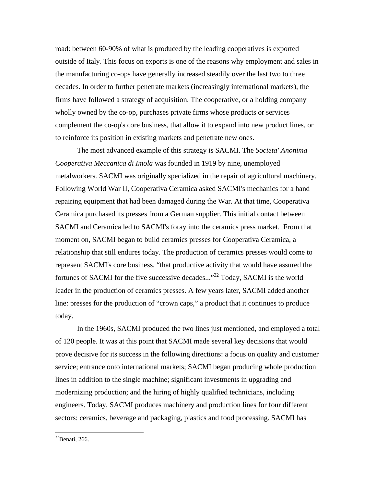road: between 60-90% of what is produced by the leading cooperatives is exported outside of Italy. This focus on exports is one of the reasons why employment and sales in the manufacturing co-ops have generally increased steadily over the last two to three decades. In order to further penetrate markets (increasingly international markets), the firms have followed a strategy of acquisition. The cooperative, or a holding company wholly owned by the co-op, purchases private firms whose products or services complement the co-op's core business, that allow it to expand into new product lines, or to reinforce its position in existing markets and penetrate new ones.

 The most advanced example of this strategy is SACMI. The *Societa' Anonima Cooperativa Meccanica di Imola* was founded in 1919 by nine, unemployed metalworkers. SACMI was originally specialized in the repair of agricultural machinery. Following World War II, Cooperativa Ceramica asked SACMI's mechanics for a hand repairing equipment that had been damaged during the War. At that time, Cooperativa Ceramica purchased its presses from a German supplier. This initial contact between SACMI and Ceramica led to SACMI's foray into the ceramics press market. From that moment on, SACMI began to build ceramics presses for Cooperativa Ceramica, a relationship that still endures today. The production of ceramics presses would come to represent SACMI's core business, "that productive activity that would have assured the fortunes of SACMI for the five successive decades..."32 Today, SACMI is the world leader in the production of ceramics presses. A few years later, SACMI added another line: presses for the production of "crown caps," a product that it continues to produce today.

 In the 1960s, SACMI produced the two lines just mentioned, and employed a total of 120 people. It was at this point that SACMI made several key decisions that would prove decisive for its success in the following directions: a focus on quality and customer service; entrance onto international markets; SACMI began producing whole production lines in addition to the single machine; significant investments in upgrading and modernizing production; and the hiring of highly qualified technicians, including engineers. Today, SACMI produces machinery and production lines for four different sectors: ceramics, beverage and packaging, plastics and food processing. SACMI has

<sup>32</sup>Benati, 266.

<u>.</u>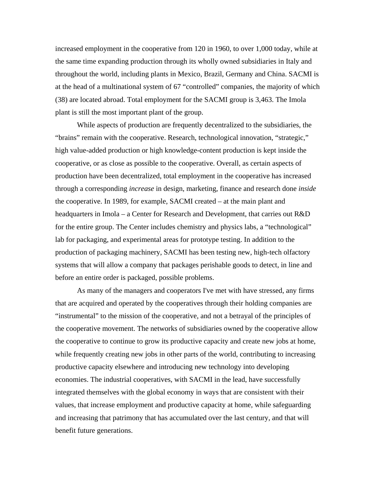increased employment in the cooperative from 120 in 1960, to over 1,000 today, while at the same time expanding production through its wholly owned subsidiaries in Italy and throughout the world, including plants in Mexico, Brazil, Germany and China. SACMI is at the head of a multinational system of 67 "controlled" companies, the majority of which (38) are located abroad. Total employment for the SACMI group is 3,463. The Imola plant is still the most important plant of the group.

 While aspects of production are frequently decentralized to the subsidiaries, the "brains" remain with the cooperative. Research, technological innovation, "strategic," high value-added production or high knowledge-content production is kept inside the cooperative, or as close as possible to the cooperative. Overall, as certain aspects of production have been decentralized, total employment in the cooperative has increased through a corresponding *increase* in design, marketing, finance and research done *inside*  the cooperative. In 1989, for example, SACMI created – at the main plant and headquarters in Imola – a Center for Research and Development, that carries out R&D for the entire group. The Center includes chemistry and physics labs, a "technological" lab for packaging, and experimental areas for prototype testing. In addition to the production of packaging machinery, SACMI has been testing new, high-tech olfactory systems that will allow a company that packages perishable goods to detect, in line and before an entire order is packaged, possible problems.

 As many of the managers and cooperators I've met with have stressed, any firms that are acquired and operated by the cooperatives through their holding companies are "instrumental" to the mission of the cooperative, and not a betrayal of the principles of the cooperative movement. The networks of subsidiaries owned by the cooperative allow the cooperative to continue to grow its productive capacity and create new jobs at home, while frequently creating new jobs in other parts of the world, contributing to increasing productive capacity elsewhere and introducing new technology into developing economies. The industrial cooperatives, with SACMI in the lead, have successfully integrated themselves with the global economy in ways that are consistent with their values, that increase employment and productive capacity at home, while safeguarding and increasing that patrimony that has accumulated over the last century, and that will benefit future generations.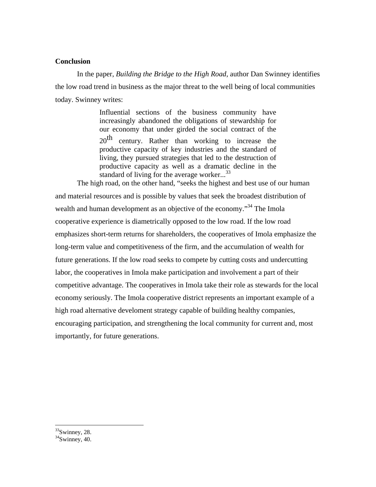# **Conclusion**

 In the paper, *Building the Bridge to the High Road*, author Dan Swinney identifies the low road trend in business as the major threat to the well being of local communities today. Swinney writes:

> Influential sections of the business community have increasingly abandoned the obligations of stewardship for our economy that under girded the social contract of the 20<sup>th</sup> century. Rather than working to increase the productive capacity of key industries and the standard of living, they pursued strategies that led to the destruction of productive capacity as well as a dramatic decline in the standard of living for the average worker...<sup>33</sup>

 The high road, on the other hand, "seeks the highest and best use of our human and material resources and is possible by values that seek the broadest distribution of wealth and human development as an objective of the economy."<sup>34</sup> The Imola cooperative experience is diametrically opposed to the low road. If the low road emphasizes short-term returns for shareholders, the cooperatives of Imola emphasize the long-term value and competitiveness of the firm, and the accumulation of wealth for future generations. If the low road seeks to compete by cutting costs and undercutting labor, the cooperatives in Imola make participation and involvement a part of their competitive advantage. The cooperatives in Imola take their role as stewards for the local economy seriously. The Imola cooperative district represents an important example of a high road alternative develoment strategy capable of building healthy companies, encouraging participation, and strengthening the local community for current and, most importantly, for future generations.

 $33$ Swinney, 28.

 $34$ Swinney, 40.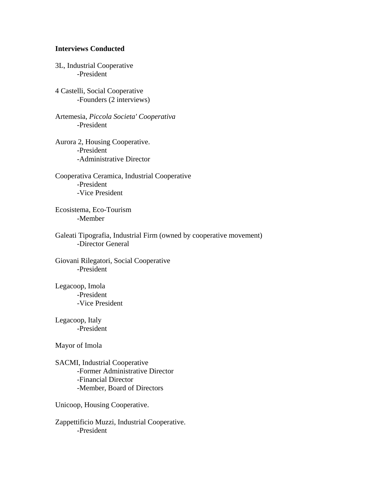# **Interviews Conducted**

3L, Industrial Cooperative -President

4 Castelli, Social Cooperative -Founders (2 interviews)

Artemesia, *Piccola Societa' Cooperativa* -President

Aurora 2, Housing Cooperative. -President -Administrative Director

Cooperativa Ceramica, Industrial Cooperative -President -Vice President

Ecosistema, Eco-Tourism -Member

Galeati Tipografia, Industrial Firm (owned by cooperative movement) -Director General

Giovani Rilegatori, Social Cooperative -President

Legacoop, Imola -President -Vice President

Legacoop, Italy -President

Mayor of Imola

SACMI, Industrial Cooperative -Former Administrative Director -Financial Director -Member, Board of Directors

Unicoop, Housing Cooperative.

Zappettificio Muzzi, Industrial Cooperative. -President